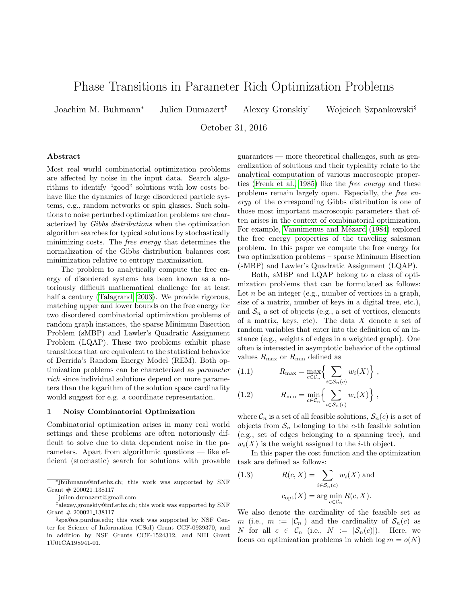# Phase Transitions in Parameter Rich Optimization Problems

Joachim M. Buhmann<sup>∗</sup> Julien Dumazert† Alexey Gronskiy‡ Wojciech Szpankowski§

October 31, 2016

#### Abstract

Most real world combinatorial optimization problems are affected by noise in the input data. Search algorithms to identify "good" solutions with low costs behave like the dynamics of large disordered particle systems, e.g., random networks or spin glasses. Such solutions to noise perturbed optimization problems are characterized by Gibbs distributions when the optimization algorithm searches for typical solutions by stochastically minimizing costs. The free energy that determines the normalization of the Gibbs distribution balances cost minimization relative to entropy maximization.

The problem to analytically compute the free energy of disordered systems has been known as a notoriously difficult mathematical challenge for at least half a century [\(Talagrand, 2003\)](#page-7-0). We provide rigorous, matching upper and lower bounds on the free energy for two disordered combinatorial optimization problems of random graph instances, the sparse Minimum Bisection Problem (sMBP) and Lawler's Quadratic Assignment Problem (LQAP). These two problems exhibit phase transitions that are equivalent to the statistical behavior of Derrida's Random Energy Model (REM). Both optimization problems can be characterized as parameter rich since individual solutions depend on more parameters than the logarithm of the solution space cardinality would suggest for e.g. a coordinate representation.

## 1 Noisy Combinatorial Optimization

Combinatorial optimization arises in many real world settings and these problems are often notoriously difficult to solve due to data dependent noise in the parameters. Apart from algorithmic questions — like efficient (stochastic) search for solutions with provable

guarantees — more theoretical challenges, such as generalization of solutions and their typicality relate to the analytical computation of various macroscopic properties [\(Frenk et al., 1985\)](#page-7-1) like the free energy and these problems remain largely open. Especially, the free energy of the corresponding Gibbs distribution is one of those most important macroscopic parameters that often arises in the context of combinatorial optimization. For example, Vannimenus and Mézard [\(1984\)](#page-7-2) explored the free energy properties of the traveling salesman problem. In this paper we compute the free energy for two optimization problems – sparse Minimum Bisection (sMBP) and Lawler's Quadratic Assignment (LQAP).

Both, sMBP and LQAP belong to a class of optimization problems that can be formulated as follows: Let  $n$  be an integer (e.g., number of vertices in a graph, size of a matrix, number of keys in a digital tree, etc.), and  $S_n$  a set of objects (e.g., a set of vertices, elements of a matrix, keys, etc). The data  $X$  denote a set of random variables that enter into the definition of an instance (e.g., weights of edges in a weighted graph). One often is interested in asymptotic behavior of the optimal values  $R_{\text{max}}$  or  $R_{\text{min}}$  defined as

(1.1) 
$$
R_{\max} = \max_{c \in C_n} \left\{ \sum_{i \in S_n(c)} w_i(X) \right\},
$$
  
(1.2) 
$$
R_{\min} = \min_{c \in C_n} \left\{ \sum_{i \in S_n(c)} w_i(X) \right\},
$$

where  $\mathcal{C}_n$  is a set of all feasible solutions,  $\mathcal{S}_n(c)$  is a set of objects from  $S_n$  belonging to the c-th feasible solution (e.g., set of edges belonging to a spanning tree), and  $w_i(X)$  is the weight assigned to the *i*-th object.

In this paper the cost function and the optimization task are defined as follows:

(1.3) 
$$
R(c, X) = \sum_{i \in S_n(c)} w_i(X) \text{ and}
$$

$$
c_{\text{opt}}(X) = \arg \min_{c \in C_n} R(c, X).
$$

We also denote the cardinality of the feasible set as m (i.e.,  $m := |\mathcal{C}_n|$ ) and the cardinality of  $\mathcal{S}_n(c)$  as N for all  $c \in \mathcal{C}_n$  (i.e.,  $N := |\mathcal{S}_n(c)|$ ). Here, we focus on optimization problems in which  $\log m = o(N)$ 

<sup>∗</sup> jbuhmann@inf.ethz.ch; this work was supported by SNF Grant  $# 200021\_138117$ 

<sup>†</sup> julien.dumazert@gmail.com

<sup>‡</sup>alexey.gronskiy@inf.ethz.ch; this work was supported by SNF Grant # 200021 138117

<sup>§</sup> spa@cs.purdue.edu; this work was supported by NSF Center for Science of Information (CSoI) Grant CCF-0939370, and in addition by NSF Grants CCF-1524312, and NIH Grant 1U01CA198941-01.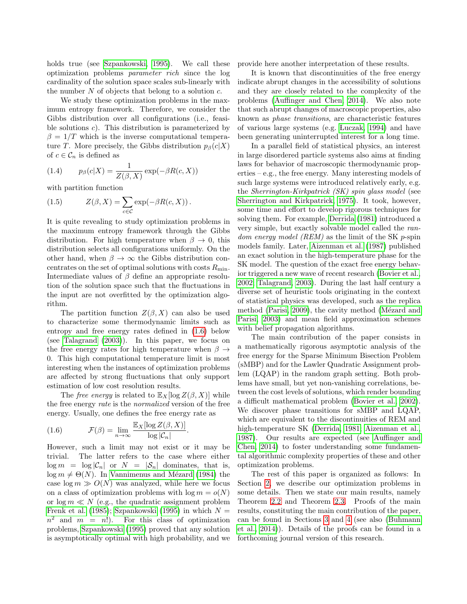holds true (see [Szpankowski, 1995\)](#page-7-3). We call these optimization problems parameter rich since the log cardinality of the solution space scales sub-linearly with the number  $N$  of objects that belong to a solution  $c$ .

We study these optimization problems in the maximum entropy framework. Therefore, we consider the Gibbs distribution over all configurations (i.e., feasible solutions  $c$ ). This distribution is parameterized by  $\beta = 1/T$  which is the inverse computational temperature T. More precisely, the Gibbs distribution  $p_\beta(c|X)$ of  $c \in \mathcal{C}_n$  is defined as

(1.4) 
$$
p_{\beta}(c|X) = \frac{1}{Z(\beta, X)} \exp(-\beta R(c, X))
$$

with partition function

(1.5) 
$$
Z(\beta, X) = \sum_{c \in \mathcal{C}} \exp(-\beta R(c, X)).
$$

It is quite revealing to study optimization problems in the maximum entropy framework through the Gibbs distribution. For high temperature when  $\beta \to 0$ , this distribution selects all configurations uniformly. On the other hand, when  $\beta \to \infty$  the Gibbs distribution concentrates on the set of optimal solutions with costs  $R_{\text{min}}$ . Intermediate values of  $\beta$  define an appropriate resolution of the solution space such that the fluctuations in the input are not overfitted by the optimization algorithm.

The partition function  $Z(\beta, X)$  can also be used to characterize some thermodynamic limits such as entropy and free energy rates defined in [\(1.6\)](#page-1-0) below (see [Talagrand](#page-7-0) [\(2003\)](#page-7-0)). In this paper, we focus on the free energy rates for high temperature when  $\beta \rightarrow$ 0. This high computational temperature limit is most interesting when the instances of optimization problems are affected by strong fluctuations that only support estimation of low cost resolution results.

The free energy is related to  $\mathbb{E}_X[\log Z(\beta, X)]$  while the free energy rate is the normalized version of the free energy. Usually, one defines the free energy rate as

<span id="page-1-0"></span>.

(1.6) 
$$
\mathcal{F}(\beta) = \lim_{n \to \infty} \frac{\mathbb{E}_X[\log Z(\beta, X)]}{\log |\mathcal{C}_n|}
$$

However, such a limit may not exist or it may be trivial. The latter refers to the case where either  $\log m = \log |\mathcal{C}_n|$  or  $N = |\mathcal{S}_n|$  dominates, that is,  $\log m \neq \Theta(N)$ . In Vannimenus and Mézard [\(1984\)](#page-7-2) the case  $\log m \gg O(N)$  was analyzed, while here we focus on a class of optimization problems with  $\log m = o(N)$ or  $\log m \ll N$  (e.g., the quadratic assignment problem [Frenk et al.](#page-7-1) [\(1985\)](#page-7-1); [Szpankowski](#page-7-3) [\(1995\)](#page-7-3) in which  $N =$  $n^2$  and  $m = n!$ ). For this class of optimization problems, [Szpankowski](#page-7-3) [\(1995\)](#page-7-3) proved that any solution is asymptotically optimal with high probability, and we provide here another interpretation of these results.

It is known that discontinuities of the free energy indicate abrupt changes in the accessibility of solutions and they are closely related to the complexity of the problems [\(Auffinger and Chen, 2014\)](#page-7-4). We also note that such abrupt changes of macroscopic properties, also known as phase transitions, are characteristic features of various large systems (e.g. [Luczak, 1994\)](#page-7-5) and have been generating uninterrupted interest for a long time.

In a parallel field of statistical physics, an interest in large disordered particle systems also aims at finding laws for behavior of macroscopic thermodynamic properties – e.g., the free energy. Many interesting models of such large systems were introduced relatively early, e.g. the Sherrington-Kirkpatrick (SK) spin glass model (see [Sherrington and Kirkpatrick, 1975\)](#page-7-6). It took, however, some time and effort to develop rigorous techniques for solving them. For example, [Derrida](#page-7-7) [\(1981\)](#page-7-7) introduced a very simple, but exactly solvable model called the random energy model (REM) as the limit of the SK p-spin models family. Later, [Aizenman et al.](#page-7-8) [\(1987\)](#page-7-8) published an exact solution in the high-temperature phase for the SK model. The question of the exact free energy behavior triggered a new wave of recent research [\(Bovier et al.,](#page-7-9) [2002;](#page-7-9) [Talagrand, 2003\)](#page-7-0). During the last half century a diverse set of heuristic tools originating in the context of statistical physics was developed, such as the replica method [\(Parisi, 2009\)](#page-7-10), the cavity method (Mézard and [Parisi, 2003\)](#page-7-11) and mean field approximation schemes with belief propagation algorithms.

The main contribution of the paper consists in a mathematically rigorous asymptotic analysis of the free energy for the Sparse Minimum Bisection Problem (sMBP) and for the Lawler Quadratic Assignment problem (LQAP) in the random graph setting. Both problems have small, but yet non-vanishing correlations, between the cost levels of solutions, which render bounding a difficult mathematical problem [\(Bovier et al., 2002\)](#page-7-9). We discover phase transitions for sMBP and LQAP, which are equivalent to the discontinuities of REM and high-temperature SK [\(Derrida, 1981;](#page-7-7) [Aizenman et al.,](#page-7-8) [1987\)](#page-7-8). Our results are expected (see [Auffinger and](#page-7-4) [Chen, 2014\)](#page-7-4) to foster understanding some fundamental algorithmic complexity properties of these and other optimization problems.

<span id="page-1-1"></span>The rest of this paper is organized as follows: In Section [2,](#page-1-1) we describe our optimization problems in some details. Then we state our main results, namely Theorem [2.2](#page-2-0) and Theorem [2.3.](#page-3-0) Proofs of the main results, constituting the main contribution of the paper, can be found in Sections [3](#page-3-1) and [4](#page-5-0) (see also [\(Buhmann](#page-7-12) [et al., 2014\)](#page-7-12)). Details of the proofs can be found in a forthcoming journal version of this research.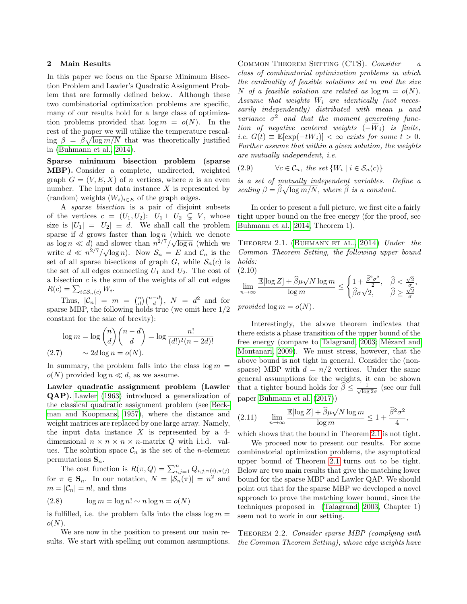#### 2 Main Results

In this paper we focus on the Sparse Minimum Bisection Problem and Lawler's Quadratic Assignment Problem that are formally defined below. Although these two combinatorial optimization problems are specific, many of our results hold for a large class of optimization problems provided that  $\log m = o(N)$ . In the rest of the paper we will utilize the temperature rescal- $\lim_{n \to \infty} \beta = \widehat{\beta} \sqrt{\log m/N}$  that was theoretically justified in [\(Buhmann et al., 2014\)](#page-7-12).

Sparse minimum bisection problem (sparse MBP). Consider a complete, undirected, weighted graph  $G = (V, E, X)$  of *n* vertices, where *n* is an even number. The input data instance  $X$  is represented by (random) weights  $(W_i)_{i \in E}$  of the graph edges.

A sparse bisection is a pair of disjoint subsets of the vertices  $c = (U_1, U_2): U_1 \sqcup U_2 \subsetneq V$ , whose size is  $|U_1| = |U_2| \equiv d$ . We shall call the problem sparse if d grows faster than  $\log n$  (which we denote as  $\log n \ll d$ ) and slower than  $n^{2/7}/\sqrt{\log n}$  (which we as  $\log n \ll a$  and slower than  $n \sim \sqrt{\log n}$  (which we<br>write  $d \ll n^{2/7}/\sqrt{\log n}$ ). Now  $S_n = E$  and  $C_n$  is the set of all sparse bisections of graph G, while  $S_n(c)$  is the set of all edges connecting  $U_1$  and  $U_2$ . The cost of a bisection  $c$  is the sum of the weights of all cut edges  $R(c) = \sum_{i \in \mathcal{S}_n(c)} W_i.$ 

Thus,  $|\mathcal{C}_n| = m = {n \choose d} {n-d \choose d}$ ,  $N = d^2$  and for sparse MBP, the following holds true (we omit here 1/2 constant for the sake of brevity):

$$
\log m = \log \binom{n}{d} \binom{n-d}{d} = \log \frac{n!}{(d!)^2 (n-2d)!}
$$
\n(2.7) 
$$
\sim 2d \log n = o(N).
$$

In summary, the problem falls into the class  $\log m =$  $o(N)$  provided  $\log n \ll d$ , as we assume.

Lawler quadratic assignment problem (Lawler QAP). [Lawler](#page-7-13) [\(1963\)](#page-7-13) introduced a generalization of the classical quadratic assignment problem (see [Beck](#page-7-14)[man and Koopmans, 1957\)](#page-7-14), where the distance and weight matrices are replaced by one large array. Namely, the input data instance  $X$  is represented by a 4dimensional  $n \times n \times n \times n$ -matrix Q with i.i.d. values. The solution space  $\mathcal{C}_n$  is the set of the *n*-element permutations  $S_n$ .

The cost function is  $R(\pi, Q) = \sum_{i,j=1}^n Q_{i,j,\pi(i),\pi(j)}$ for  $\pi \in \mathbf{S}_n$ . In our notation,  $N = |\mathcal{S}_n(\pi)| = n^2$  and  $m = |\mathcal{C}_n| = n!$ , and thus

$$
(2.8) \qquad \log m = \log n! \sim n \log n = o(N)
$$

is fulfilled, i.e. the problem falls into the class  $\log m =$  $o(N)$ .

We are now in the position to present our main results. We start with spelling out common assumptions. COMMON THEOREM SETTING (CTS). Consider a class of combinatorial optimization problems in which the cardinality of feasible solutions set m and the size N of a feasible solution are related as  $\log m = o(N)$ . Assume that weights  $W_i$  are identically (not necessarily independently) distributed with mean  $\mu$  and variance  $\sigma^2$  and that the moment generating function of negative centered weights  $(-\overline{W}_i)$  is finite, i.e.  $\overline{G}(t) \equiv \mathbb{E}[\exp(-t\overline{W}_i)] < \infty$  exists for some  $t > 0$ . Further assume that within a given solution, the weights are mutually independent, i.e.

(2.9) 
$$
\forall c \in \mathcal{C}_n, \text{ the set } \{W_i \mid i \in \mathcal{S}_n(c)\}
$$

is a set of mutually independent variables. Define a scaling  $\beta = \widehat{\beta}\sqrt{\log m/N}$ , where  $\widehat{\beta}$  is a constant.

In order to present a full picture, we first cite a fairly tight upper bound on the free energy (for the proof, see [Buhmann et al., 2014,](#page-7-12) Theorem 1).

<span id="page-2-1"></span>THEOREM 2.1. (BUHMANN ET AL., 2014) Under the Common Theorem Setting, the following upper bound holds: (2.10)

$$
\lim_{n \to \infty} \frac{\mathbb{E}[\log Z] + \widehat{\beta}\mu\sqrt{N\log m}}{\log m} \le \begin{cases} 1 + \frac{\widehat{\beta}^2 \sigma^2}{2}, & \widehat{\beta} < \frac{\sqrt{2}}{\sigma}, \\ \widehat{\beta}\sigma\sqrt{2}, & \widehat{\beta} \ge \frac{\sqrt{2}}{\sigma} \end{cases}
$$
  
provided  $\log m = o(N)$ .

Interestingly, the above theorem indicates that there exists a phase transition of the upper bound of the free energy (compare to [Talagrand, 2003;](#page-7-0) Mézard and [Montanari, 2009\)](#page-7-15). We must stress, however, that the above bound is not tight in general. Consider the (nonsparse) MBP with  $d = n/2$  vertices. Under the same general assumptions for the weights, it can be shown that a tighter bound holds for  $\widehat{\beta} \leq \frac{1}{\sqrt{\log 2}\sigma}$  (see our full paper [Buhmann et al.](#page-7-16) [\(2017\)](#page-7-16))

(2.11) 
$$
\lim_{n \to \infty} \frac{\mathbb{E}[\log Z] + \widehat{\beta}\mu\sqrt{N\log m}}{\log m} \le 1 + \frac{\widehat{\beta}^2 \sigma^2}{4},
$$

which shows that the bound in Theorem [2.1](#page-2-1) is not tight.

We proceed now to present our results. For some combinatorial optimization problems, the asymptotical upper bound of Theorem [2.1](#page-2-1) turns out to be tight. Below are two main results that give the matching lower bound for the sparse MBP and Lawler QAP. We should point out that for the sparse MBP we developed a novel approach to prove the matching lower bound, since the techniques proposed in [\(Talagrand, 2003,](#page-7-0) Chapter 1) seem not to work in our setting.

<span id="page-2-0"></span>THEOREM 2.2. Consider sparse MBP (complying with the Common Theorem Setting), whose edge weights have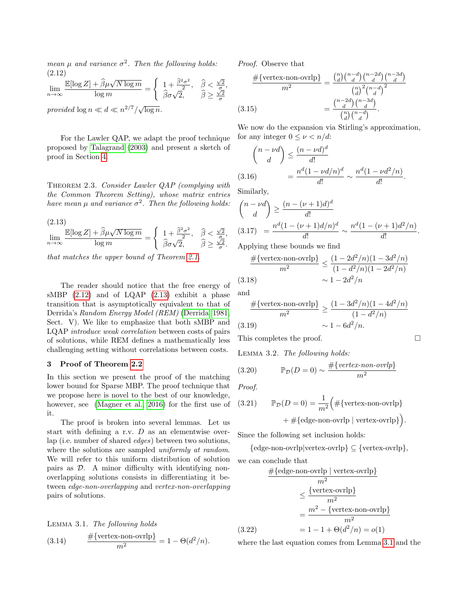mean  $\mu$  and variance  $\sigma^2$ . Then the following holds: (2.12)

$$
\lim_{n \to \infty} \frac{\mathbb{E}[\log Z] + \widehat{\beta}\mu\sqrt{N\log m}}{\log m} = \begin{cases} 1 + \frac{\widehat{\beta}^2 \sigma^2}{2}, & \widehat{\beta} < \frac{\sqrt{2}}{\sigma} \\ \widehat{\beta}\sigma\sqrt{2}, & \widehat{\beta} \ge \frac{\sqrt{2}}{\sigma} \end{cases}
$$

provided  $\log n \ll d \ll n^{2/7}/\sqrt{\log n}$ .

For the Lawler QAP, we adapt the proof technique proposed by [Talagrand](#page-7-0) [\(2003\)](#page-7-0) and present a sketch of proof in Section [4.](#page-5-0)

<span id="page-3-0"></span>THEOREM 2.3. Consider Lawler QAP (complying with the Common Theorem Setting), whose matrix entries have mean  $\mu$  and variance  $\sigma^2$ . Then the following holds:

<span id="page-3-3"></span>(2.13)  
\n
$$
\lim_{n \to \infty} \frac{\mathbb{E}[\log Z] + \hat{\beta}\mu\sqrt{N\log m}}{\log m} = \begin{cases} 1 + \frac{\hat{\beta}^2 \sigma^2}{2}, & \hat{\beta} < \frac{\sqrt{2}}{\sigma}, \\ \hat{\beta}\sigma\sqrt{2}, & \hat{\beta} \ge \frac{\sqrt{2}}{\sigma}. \end{cases}
$$

that matches the upper bound of Theorem [2.1.](#page-2-1)

The reader should notice that the free energy of sMBP [\(2.12\)](#page-3-2) and of LQAP [\(2.13\)](#page-3-3) exhibit a phase transition that is asymptotically equivalent to that of Derrida's Random Energy Model (REM) [\(Derrida, 1981,](#page-7-7) Sect. V). We like to emphasize that both sMBP and LQAP introduce weak correlation between costs of pairs of solutions, while REM defines a mathematically less challenging setting without correlations between costs.

## <span id="page-3-1"></span>3 Proof of Theorem [2.2](#page-2-0)

In this section we present the proof of the matching lower bound for Sparse MBP. The proof technique that we propose here is novel to the best of our knowledge, however, see [\(Magner et al., 2016\)](#page-7-17) for the first use of it.

The proof is broken into several lemmas. Let us start with defining a r.v.  $D$  as an elementwise overlap (i.e. number of shared edges) between two solutions, where the solutions are sampled *uniformly at random*. We will refer to this uniform distribution of solution pairs as D. A minor difficulty with identifying nonoverlapping solutions consists in differentiating it between edge-non-overlapping and vertex-non-overlapping pairs of solutions.

<span id="page-3-4"></span>LEMMA 3.1. The following holds  
(3.14) 
$$
\frac{\#\{\text{vertex-non-ovrlp}\}}{m^2} = 1 - \Theta(d^2/n).
$$

<span id="page-3-2"></span>Proof. Observe that

$$
\frac{\#\{\text{vertex-non-ovrlp}\}}{m^2} = \frac{\binom{n}{d}\binom{n-d}{d}\binom{n-2d}{d}\binom{n-3d}{d}}{\binom{n}{d}^2\binom{n-d}{d}^2}
$$
\n
$$
(3.15) \qquad \qquad = \frac{\binom{n-2d}{d}\binom{n-3d}{d}}{\binom{n}{d}\binom{n-d}{d}}.
$$

We now do the expansion via Stirling's approximation, for any integer  $0 \leq \nu \leq n/d$ :

$$
\binom{n-\nu d}{d} \le \frac{(n-\nu d)^d}{d!}
$$
\n
$$
(3.16) \qquad \qquad = \frac{n^d (1-\nu d/n)^d}{d!} \sim \frac{n^d (1-\nu d^2/n)}{d!}.
$$

Similarly,

,

$$
\binom{n-\nu d}{d} \ge \frac{(n-(\nu+1)d)^d}{d!}
$$
\n(3.17) 
$$
= \frac{n^d (1-(\nu+1)d/n)^d}{d!} \sim \frac{n^d (1-(\nu+1)d^2/n)}{d!}.
$$

Applying these bounds we find

$$
\frac{\#\{\text{vertex-non-ovrlp}\}}{m^2} \le \frac{(1 - 2d^2/n)(1 - 3d^2/n)}{(1 - d^2/n)(1 - 2d^2/n)}
$$
\n(3.18)\n
$$
\sim 1 - 2d^2/n
$$

and

$$
\frac{\#\{\text{vertex-non-ovrlp}\}}{m^2} \ge \frac{(1 - 3d^2/n)(1 - 4d^2/n)}{(1 - d^2/n)}
$$
\n(3.19)\n
$$
\sim 1 - 6d^2/n.
$$

This completes the proof.

<span id="page-3-5"></span>Lemma 3.2. The following holds:

(3.20) 
$$
\mathbb{P}_{\mathcal{D}}(D=0) \sim \frac{\#\{vertex\text{-}non-ovrlp\}}{m^2}
$$

Proof.

(3.21) 
$$
\mathbb{P}_{\mathcal{D}}(D=0) = \frac{1}{m^2} \Big( \# \{\text{vertex-non-ovrlp}\} + \# \{\text{edge-non-ovrlp} \mid \text{vertex-ovrlp}\} \Big).
$$

Since the following set inclusion holds:

 ${edge-non-ovrlp|vertex-ovrlp} \subseteq {vertex-ovrlp},$ we can conclude that

$$
\frac{\#\{\text{edge-non-orrlp} \mid \text{vertex-orrlp}\}}{m^2}
$$
\n
$$
\leq \frac{\{\text{vertex-orrlp}\}}{m^2}
$$
\n
$$
= \frac{m^2 - \{\text{vertex-non-orrlp}\}}{m^2}
$$
\n(3.22)\n
$$
= 1 - 1 + \Theta(d^2/n) = o(1)
$$

where the last equation comes from Lemma [3.1](#page-3-4) and the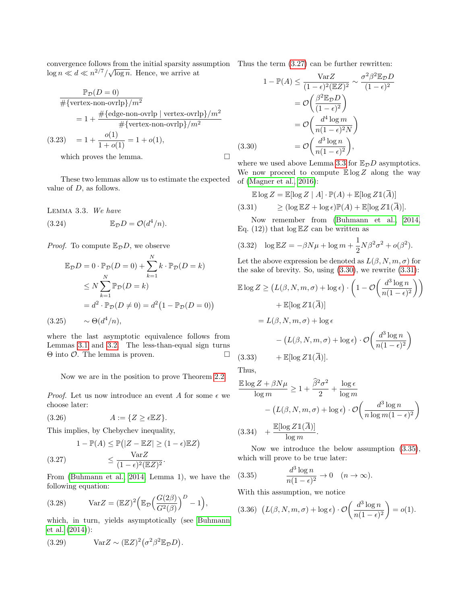convergence follows from the initial sparsity assumption Thus the term  $(3.27)$  can be further rewritten:  $\log n \ll d \ll n^{2/7}/\sqrt{\log n}$ . Hence, we arrive at

$$
\frac{\mathbb{P}_{\mathcal{D}}(D=0)}{\#\{\text{vertex-non-ovrlp}\}/m^2}
$$
\n
$$
= 1 + \frac{\#\{\text{edge-non-ovrlp}\} / m^2}{\#\{\text{vertex-non-ovrlp}\}/m^2}
$$
\n(3.23) 
$$
= 1 + \frac{o(1)}{1 + o(1)} = 1 + o(1),
$$
\nwhich proves the lemma.

These two lemmas allow us to estimate the expected value of  $D$ , as follows.

<span id="page-4-1"></span>Lemma 3.3. We have

(3.24) 
$$
\mathbb{E}_{\mathcal{D}}D = \mathcal{O}(d^4/n).
$$

*Proof.* To compute  $\mathbb{E}_{\mathcal{D}}D$ , we observe

$$
\mathbb{E}_{\mathcal{D}}D = 0 \cdot \mathbb{P}_{\mathcal{D}}(D = 0) + \sum_{k=1}^{N} k \cdot \mathbb{P}_{\mathcal{D}}(D = k)
$$
  
\n
$$
\leq N \sum_{k=1}^{N} \mathbb{P}_{\mathcal{D}}(D = k)
$$
  
\n
$$
= d^2 \cdot \mathbb{P}_{\mathcal{D}}(D \neq 0) = d^2 (1 - \mathbb{P}_{\mathcal{D}}(D = 0))
$$
  
\n(3.25)  $\sim \Theta(d^4/n),$ 

where the last asymptotic equivalence follows from Lemmas [3.1](#page-3-4) and [3.2.](#page-3-5) The less-than-equal sign turns Θ into O. The lemma is proven.

Now we are in the position to prove Theorem [2.2.](#page-2-0)

*Proof.* Let us now introduce an event A for some  $\epsilon$  we choose later:

$$
(3.26) \t\t A := \{Z \ge \epsilon \mathbb{E} Z\}.
$$

This implies, by Chebychev inequality,

<span id="page-4-0"></span>
$$
1 - \mathbb{P}(A) \le \mathbb{P}(|Z - \mathbb{E}Z| \ge (1 - \epsilon)\mathbb{E}Z)
$$
  
(3.27) 
$$
\le \frac{\text{Var}Z}{(1 - \epsilon)^2(\mathbb{E}Z)^2}.
$$

From [\(Buhmann et al., 2014,](#page-7-12) Lemma 1), we have the following equation:

(3.28) 
$$
\text{Var} Z = (\mathbb{E} Z)^2 \Big( \mathbb{E}_{\mathcal{D}} \Big( \frac{G(2\beta)}{G^2(\beta)} \Big)^D - 1 \Big),
$$

which, in turn, yields asymptotically (see [Buhmann](#page-7-12) [et al.](#page-7-12) [\(2014\)](#page-7-12)):

(3.29) 
$$
Var Z \sim (E Z)^2 (\sigma^2 \beta^2 E_{\mathcal{D}} D).
$$

$$
1 - \mathbb{P}(A) \le \frac{\text{Var}Z}{(1 - \epsilon)^2 (\mathbb{E}Z)^2} \sim \frac{\sigma^2 \beta^2 \mathbb{E}_{\mathcal{D}}D}{(1 - \epsilon)^2}
$$

$$
= \mathcal{O}\left(\frac{\beta^2 \mathbb{E}_{\mathcal{D}}D}{(1 - \epsilon)^2}\right)
$$

$$
= \mathcal{O}\left(\frac{d^4 \log m}{n(1 - \epsilon)^2 N}\right)
$$

$$
(3.30) \qquad = \mathcal{O}\left(\frac{d^3 \log n}{n(1 - \epsilon)^2}\right),
$$

<span id="page-4-2"></span>where we used above Lemma [3.3](#page-4-1) for  $\mathbb{E}_{\mathcal{D}}D$  asymptotics. We now proceed to compute  $\mathbb{E} \log Z$  along the way of [\(Magner et al., 2016\)](#page-7-17):

<span id="page-4-3"></span>
$$
\mathbb{E}\log Z = \mathbb{E}[\log Z \mid A] \cdot \mathbb{P}(A) + \mathbb{E}[\log Z \mathbb{1}(\overline{A})]
$$
  
(3.31) 
$$
\geq (\log \mathbb{E}Z + \log \epsilon)\mathbb{P}(A) + \mathbb{E}[\log Z \mathbb{1}(\overline{A})].
$$

Now remember from [\(Buhmann et al., 2014,](#page-7-12) Eq. (12)) that  $\log \mathbb{E} Z$  can be written as

(3.32) 
$$
\log \mathbb{E} Z = -\beta N\mu + \log m + \frac{1}{2}N\beta^2\sigma^2 + o(\beta^2).
$$

Let the above expression be denoted as  $L(\beta, N, m, \sigma)$  for the sake of brevity. So, using  $(3.30)$ , we rewrite  $(3.31)$ :

$$
\mathbb{E} \log Z \ge \left( L(\beta, N, m, \sigma) + \log \epsilon \right) \cdot \left( 1 - \mathcal{O} \left( \frac{d^3 \log n}{n(1 - \epsilon)^2} \right) \right)
$$

$$
+ \mathbb{E} [\log Z \mathbb{1}(\overline{A})]
$$

$$
= L(\beta, N, m, \sigma) + \log \epsilon
$$

$$
- \left( L(\beta, N, m, \sigma) + \log \epsilon \right) \cdot \mathcal{O} \left( \frac{d^3 \log n}{n(1 - \epsilon)^2} \right)
$$

$$
(3.33) + \mathbb{E} [\log Z \mathbb{1}(\overline{A})].
$$

Thus,

$$
\frac{\mathbb{E}\log Z + \beta N\mu}{\log m} \ge 1 + \frac{\widehat{\beta}^2 \sigma^2}{2} + \frac{\log \epsilon}{\log m} \n- (L(\beta, N, m, \sigma) + \log \epsilon) \cdot \mathcal{O}\left(\frac{d^3 \log n}{n \log m (1 - \epsilon)^2}\right) \n(3.34) + \frac{\mathbb{E}[\log Z \mathbb{1}(\overline{A})]}{\log m}.
$$

Now we introduce the below assumption [\(3.35\)](#page-4-4), which will prove to be true later:

<span id="page-4-4"></span>(3.35) 
$$
\frac{d^3 \log n}{n(1-\epsilon)^2} \to 0 \quad (n \to \infty).
$$

With this assumption, we notice

(3.36) 
$$
(L(\beta, N, m, \sigma) + \log \epsilon) \cdot \mathcal{O}\left(\frac{d^3 \log n}{n(1 - \epsilon)^2}\right) = o(1).
$$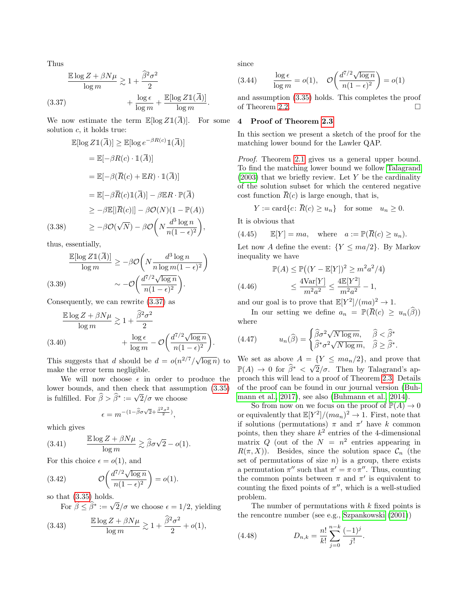Thus

<span id="page-5-1"></span>
$$
\frac{\mathbb{E}\log Z + \beta N\mu}{\log m} \gtrsim 1 + \frac{\widehat{\beta}^2 \sigma^2}{2}
$$
  
(3.37) 
$$
+ \frac{\log \epsilon}{\log m} + \frac{\mathbb{E}[\log Z \mathbb{1}(\overline{A})]}{\log m}.
$$

We now estimate the term  $\mathbb{E}[\log Z1(\overline{A})]$ . For some solution  $c$ , it holds true:

$$
\mathbb{E}[\log Z \mathbb{1}(\overline{A})] \geq \mathbb{E}[\log e^{-\beta R(c)} \mathbb{1}(\overline{A})]
$$
  
\n
$$
= \mathbb{E}[-\beta R(c) \cdot \mathbb{1}(\overline{A})]
$$
  
\n
$$
= \mathbb{E}[-\beta (\overline{R}(c) + \mathbb{E}R) \cdot \mathbb{1}(\overline{A})]
$$
  
\n
$$
= \mathbb{E}[-\beta \overline{R}(c) \mathbb{1}(\overline{A})] - \beta \mathbb{E}R \cdot \mathbb{P}(\overline{A})
$$
  
\n
$$
\geq -\beta \mathbb{E}[|\overline{R}(c)|] - \beta \mathcal{O}(N)(1 - \mathbb{P}(A))
$$
  
\n(3.38) 
$$
\geq -\beta \mathcal{O}(\sqrt{N}) - \beta \mathcal{O}\left(N \frac{d^3 \log n}{n(1 - \epsilon)^2}\right),
$$

thus, essentially,

$$
\frac{\mathbb{E}[\log Z \mathbb{1}(\overline{A})]}{\log m} \ge -\beta \mathcal{O}\left(N \frac{d^3 \log n}{n \log m (1 - \epsilon)^2}\right)
$$
\n(3.39)\n
$$
\sim -\mathcal{O}\left(\frac{d^{7/2} \sqrt{\log n}}{n(1 - \epsilon)^2}\right).
$$

Consequently, we can rewrite [\(3.37\)](#page-5-1) as

$$
\frac{\mathbb{E}\log Z + \beta N\mu}{\log m} \gtrsim 1 + \frac{\widehat{\beta}^2 \sigma^2}{2} + \frac{\log \epsilon}{\log m} - \mathcal{O}\left(\frac{d^{7/2}\sqrt{\log n}}{n(1-\epsilon)^2}\right).
$$
\n(3.40)

This suggests that d should be  $d = o(n^{2/7}/\sqrt{\log n})$  to make the error term negligible.

We will now choose  $\epsilon$  in order to produce the lower bounds, and then check that assumption [\(3.35\)](#page-4-4) hower bounds, and then there is fulfilled. For  $\hat{\beta} > \hat{\beta}^* := \sqrt{2}/\sigma$  we choose

$$
\epsilon=m^{-(1-\widehat{\beta}\sigma\sqrt{2}+\frac{\widehat{\beta}^2\sigma^2}{2})},
$$

which gives

(3.41) 
$$
\frac{\mathbb{E}\log Z + \beta N\mu}{\log m} \gtrsim \widehat{\beta}\sigma\sqrt{2} - o(1).
$$

For this choice  $\epsilon = o(1)$ , and

(3.42) 
$$
\mathcal{O}\left(\frac{d^{7/2}\sqrt{\log n}}{n(1-\epsilon)^2}\right) = o(1).
$$

so that [\(3.35\)](#page-4-4) holds.

For  $\hat{\beta} \leq \hat{\beta}^* := \sqrt{2}/\sigma$  we choose  $\epsilon = 1/2$ , yielding

(3.43) 
$$
\frac{\mathbb{E}\log Z + \beta N\mu}{\log m} \gtrsim 1 + \frac{\widehat{\beta}^2 \sigma^2}{2} + o(1),
$$

since

(3.44) 
$$
\frac{\log \epsilon}{\log m} = o(1), \quad \mathcal{O}\left(\frac{d^{7/2}\sqrt{\log n}}{n(1-\epsilon)^2}\right) = o(1)
$$

and assumption [\(3.35\)](#page-4-4) holds. This completes the proof of Theorem [2.2.](#page-2-0)

# <span id="page-5-0"></span>4 Proof of Theorem [2.3](#page-3-0)

In this section we present a sketch of the proof for the matching lower bound for the Lawler QAP.

Proof. Theorem [2.1](#page-2-1) gives us a general upper bound. To find the matching lower bound we follow [Talagrand](#page-7-0)  $(2003)$  that we briefly review. Let Y be the cardinality of the solution subset for which the centered negative cost function  $\bar{R}(c)$  is large enough, that is,

$$
Y := \text{card}\{c \colon \overline{R}(c) \ge u_n\} \quad \text{for some} \quad u_n \ge 0.
$$

It is obvious that

(4.45) 
$$
\mathbb{E}[Y] = ma, \quad \text{where} \quad a := \mathbb{P}(\overline{R}(c) \ge u_n).
$$

Let now A define the event:  ${Y \leq ma/2}$ . By Markov inequality we have

$$
\mathbb{P}(A) \le \mathbb{P}((Y - \mathbb{E}[Y])^2 \ge m^2 a^2 / 4)
$$
  
(4.46) 
$$
\le \frac{4 \text{Var}[Y]}{m^2 a^2} \le \frac{4 \mathbb{E}[Y^2]}{m^2 a^2} - 1,
$$

and our goal is to prove that  $\mathbb{E}[Y^2]/(ma)^2 \to 1$ .

In our setting we define  $a_n = \mathbb{P}(\overline{R}(c) \geq u_n(\widehat{\beta}))$ where

(4.47) 
$$
u_n(\widehat{\beta}) = \begin{cases} \widehat{\beta}\sigma^2 \sqrt{N \log m}, & \widehat{\beta} < \widehat{\beta}^* \\ \widehat{\beta}^* \sigma^2 \sqrt{N \log m}, & \widehat{\beta} \geq \widehat{\beta}^*. \end{cases}
$$

We set as above  $A = \{Y \leq ma_n/2\}$ , and prove that  $\mathbb{P}(A) \to 0$  for  $\widehat{\beta}^* < \sqrt{2}/\sigma$ . Then by Talagrand's approach this will lead to a proof of Theorem [2.3.](#page-3-0) Details of the proof can be found in our journal version [\(Buh](#page-7-16)[mann et al., 2017\)](#page-7-16), see also [\(Buhmann et al., 2014\)](#page-7-12).

So from now on we focus on the proof of  $\mathbb{P}(A) \to 0$ or equivalently that  $\mathbb{E}[Y^2]/(ma_n)^2 \to 1$ . First, note that if solutions (permutations)  $\pi$  and  $\pi'$  have k common points, then they share  $k^2$  entries of the 4-dimensional matrix Q (out of the  $N = n^2$  entries appearing in  $R(\pi, X)$ ). Besides, since the solution space  $\mathcal{C}_n$  (the set of permutations of size  $n$ ) is a group, there exists a permutation  $\pi''$  such that  $\pi' = \pi \circ \pi''$ . Thus, counting the common points between  $\pi$  and  $\pi'$  is equivalent to counting the fixed points of  $\pi''$ , which is a well-studied problem.

The number of permutations with  $k$  fixed points is the rencontre number (see e.g., [Szpankowski](#page-7-18) [\(2001\)](#page-7-18))

(4.48) 
$$
D_{n,k} = \frac{n!}{k!} \sum_{j=0}^{n-k} \frac{(-1)^j}{j!}.
$$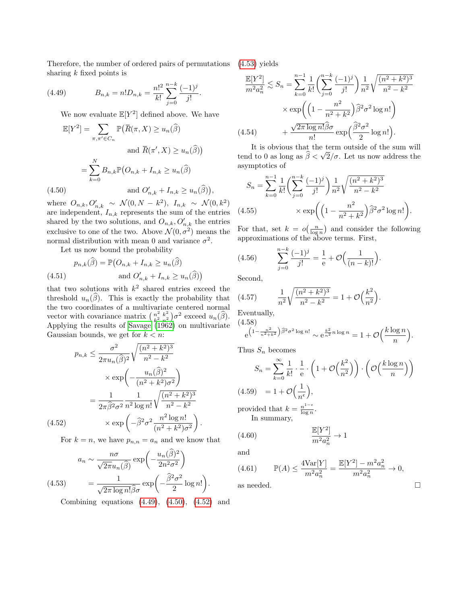Therefore, the number of ordered pairs of permutations [\(4.53\)](#page-6-3) yields sharing  $k$  fixed points is

(4.49) 
$$
B_{n,k} = n! D_{n,k} = \frac{n!^2}{k!} \sum_{j=0}^{n-k} \frac{(-1)^j}{j!}.
$$

<span id="page-6-0"></span>We now evaluate  $\mathbb{E}[Y^2]$  defined above. We have

$$
\mathbb{E}[Y^2] = \sum_{\pi, \pi' \in C_n} \mathbb{P}(\overline{R}(\pi, X) \ge u_n(\widehat{\beta})
$$
  
and  $\overline{R}(\pi', X) \ge u_n(\widehat{\beta})$ )  

$$
= \sum_{k=0}^N B_{n,k} \mathbb{P}(O_{n,k} + I_{n,k} \ge u_n(\widehat{\beta})
$$
  
(4.50) and  $O'_{n,k} + I_{n,k} \ge u_n(\widehat{\beta})$ ),

<span id="page-6-1"></span>where  $O_{n,k}, O'_{n,k} \sim \mathcal{N}(0, N - k^2), I_{n,k} \sim \mathcal{N}(0, k^2)$ are independent,  $I_{n,k}$  represents the sum of the entries shared by the two solutions, and  $O_{n,k}, O'_{n,k}$  the entries exclusive to one of the two. Above  $\mathcal{N}(0, \sigma^2)$  means the normal distribution with mean 0 and variance  $\sigma^2$ .

Let us now bound the probability

$$
p_{n,k}(\hat{\beta}) = \mathbb{P}(O_{n,k} + I_{n,k} \ge u_n(\hat{\beta})
$$
  
(4.51) and  $O'_{n,k} + I_{n,k} \ge u_n(\hat{\beta})$ )

that two solutions with  $k^2$  shared entries exceed the threshold  $u_n(\widehat{\beta})$ . This is exactly the probability that the two coordinates of a multivariate centered normal vector with covariance matrix  $\binom{n^2}{k^2}$ vector with covariance matrix  $\binom{n^2}{k^2} \binom{n^2}{n^2}$  exceed  $u_n(\widehat{\beta})$ .<br>Applying the results of [Savage](#page-7-19) [\(1962\)](#page-7-19) on multivariate Gaussian bounds, we get for  $k < n$ :

$$
p_{n,k} \leq \frac{\sigma^2}{2\pi u_n(\hat{\beta})^2} \sqrt{\frac{(n^2 + k^2)^3}{n^2 - k^2}} \times \exp\left(-\frac{u_n(\hat{\beta})^2}{(n^2 + k^2)\sigma^2}\right) = \frac{1}{2\pi \hat{\beta}^2 \sigma^2} \frac{1}{n^2 \log n!} \sqrt{\frac{(n^2 + k^2)^3}{n^2 - k^2}} \times \exp\left(-\hat{\beta}^2 \sigma^2 \frac{n^2 \log n!}{(n^2 + k^2)\sigma^2}\right).
$$
\n(4.52)

<span id="page-6-2"></span>For  $k = n$ , we have  $p_{n,n} = a_n$  and we know that

<span id="page-6-3"></span>
$$
a_n \sim \frac{n\sigma}{\sqrt{2\pi}u_n(\hat{\beta})} \exp\left(-\frac{u_n(\hat{\beta})^2}{2n^2\sigma^2}\right)
$$
  
(4.53) 
$$
= \frac{1}{\sqrt{2\pi \log n! \hat{\beta}\sigma}} \exp\left(-\frac{\hat{\beta}^2 \sigma^2}{2} \log n! \right).
$$

Combining equations  $(4.49)$ ,  $(4.50)$ ,  $(4.52)$  and

$$
\frac{\mathbb{E}[Y^2]}{m^2 a_n^2} \lesssim S_n = \sum_{k=0}^{n-1} \frac{1}{k!} \left( \sum_{j=0}^{n-k} \frac{(-1)^j}{j!} \right) \frac{1}{n^2} \sqrt{\frac{(n^2 + k^2)^3}{n^2 - k^2}} \times \exp\left( \left( 1 - \frac{n^2}{n^2 + k^2} \right) \widehat{\beta}^2 \sigma^2 \log n! \right) + \frac{\sqrt{2\pi \log n!} \widehat{\beta} \sigma}{n!} \exp\left( \frac{\widehat{\beta}^2 \sigma^2}{2} \log n! \right).
$$
\n(4.54)

It is obvious that the term outside of the sum will tend to 0 as long as  $\beta < \sqrt{2/\sigma}$ . Let us now address the asymptotics of

$$
S_n = \sum_{k=0}^{n-1} \frac{1}{k!} \left( \sum_{j=0}^{n-k} \frac{(-1)^j}{j!} \right) \frac{1}{n^2} \sqrt{\frac{(n^2 + k^2)^3}{n^2 - k^2}}
$$
  
(4.55) 
$$
\times \exp\left( \left( 1 - \frac{n^2}{n^2 + k^2} \right) \hat{\beta}^2 \sigma^2 \log n! \right).
$$

For that, set  $k = o(\frac{n}{\log n})$  and consider the following approximations of the above terms. First,

(4.56) 
$$
\sum_{j=0}^{n-k} \frac{(-1)^j}{j!} = \frac{1}{e} + \mathcal{O}\Big(\frac{1}{(n-k)!}\Big).
$$

Second,

(4.57) 
$$
\frac{1}{n^2} \sqrt{\frac{(n^2 + k^2)^3}{n^2 - k^2}} = 1 + \mathcal{O}\left(\frac{k^2}{n^2}\right).
$$

Eventually, (4.58)

$$
e^{\left(1-\frac{n^2}{n^2+k^2}\right)\widehat{\beta}^2\sigma^2\log n!}\sim e^{\frac{k^2}{n^2}n\log n}=1+\mathcal{O}\Big(\frac{k\log n}{n}\Big).
$$

Thus  $S_n$  becomes

$$
S_n = \sum_{k=0}^{\infty} \frac{1}{k!} \cdot \frac{1}{e} \cdot \left(1 + \mathcal{O}\left(\frac{k^2}{n^2}\right)\right) \cdot \left(\mathcal{O}\left(\frac{k \log n}{n}\right)\right)
$$
  
(4.59) = 1 +  $\mathcal{O}\left(\frac{1}{n^{\epsilon}}\right)$ ,  
provided that  $k = \frac{n^{1-\epsilon}}{\log n}$ .  
In summary,

$$
\frac{\mathbb{E}[Y^2]}{m^2 a_n^2} \to 1
$$

and

(4.61) 
$$
\mathbb{P}(A) \le \frac{4\text{Var}[Y]}{m^2 a_n^2} = \frac{\mathbb{E}[Y^2] - m^2 a_n^2}{m^2 a_n^2} \to 0,
$$

as needed.  $\hfill \square$